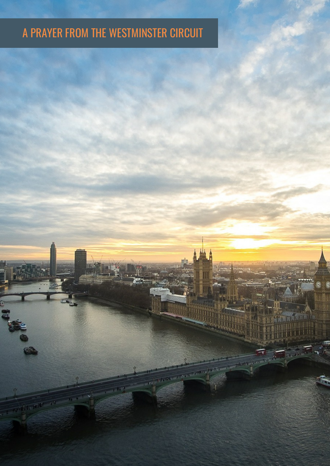## A PRAYER FROM THE WESTMINSTER CIRCUIT